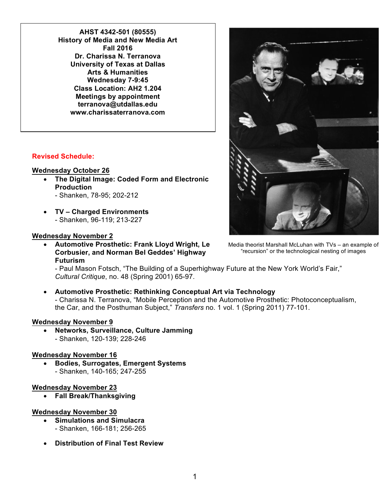**AHST 4342-501 (80555) History of Media and New Media Art Fall 2016 Dr. Charissa N. Terranova University of Texas at Dallas Arts & Humanities Wednesday 7-9:45 Class Location: AH2 1.204 Meetings by appointment terranova@utdallas.edu www.charissaterranova.com**

## **Revised Schedule:**

## **Wednesday October 26**

- **The Digital Image: Coded Form and Electronic Production**
	- Shanken, 78-95; 202-212
- **TV – Charged Environments** - Shanken, 96-119; 213-227

### **Wednesday November 2**

• **Automotive Prosthetic: Frank Lloyd Wright, Le Corbusier, and Norman Bel Geddes' Highway Futurism**

- Paul Mason Fotsch, "The Building of a Superhighway Future at the New York World's Fair," *Cultural Critique*, no. 48 (Spring 2001) 65-97.

# • **Automotive Prosthetic: Rethinking Conceptual Art via Technology**

- Charissa N. Terranova, "Mobile Perception and the Automotive Prosthetic: Photoconceptualism, the Car, and the Posthuman Subject," *Transfers* no. 1 vol. 1 (Spring 2011) 77-101.

### **Wednesday November 9**

• **Networks, Surveillance, Culture Jamming** - Shanken, 120-139; 228-246

### **Wednesday November 16**

• **Bodies, Surrogates, Emergent Systems** - Shanken, 140-165; 247-255

#### **Wednesday November 23**

• **Fall Break/Thanksgiving**

### **Wednesday November 30**

- **Simulations and Simulacra** - Shanken, 166-181; 256-265
- **Distribution of Final Test Review**